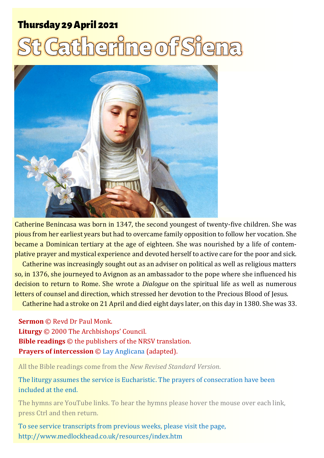# **Thursday 29 April 2021** <u>I Catherine of Siena</u>



Catherine Benincasa was born in 1347, the second youngest of twenty-five children. She was pious from her earliest years but had to overcame family opposition to follow her vocation. She became a Dominican tertiary at the age of eighteen. She was nourished by a life of contemplative prayer and mystical experience and devoted herself to active care for the poor and sick.

Catherine was increasingly sought out as an adviser on political as well as religious matters so, in 1376, she journeyed to Avignon as an ambassador to the pope where she influenced his decision to return to Rome. She wrote a *Dialogue* on the spiritual life as well as numerous letters of counsel and direction, which stressed her devotion to the Precious Blood of Jesus.

Catherine had a stroke on 21 April and died eight days later, on this day in 1380. She was 33.

**Sermon** © Revd Dr Paul Monk.

**Liturgy** © 2000 The Archbishops' Council. **Bible readings** © the publishers of the NRSV translation. **Prayers of intercession** © [Lay Anglicana](http://www.layanglicana.org/blog/2013/04/10/intercessions-for-third-sunday-of-easter-14-april-2013/) (adapted).

All the Bible readings come from the *New Revised Standard Version*.

The liturgy assumes the service is Eucharistic. The prayers of consecration have been included at the end.

The hymns are YouTube links. To hear the hymns please hover the mouse over each link, press Ctrl and then return.

To see service transcripts from previous weeks, please visit the page, <http://www.medlockhead.co.uk/resources/index.htm>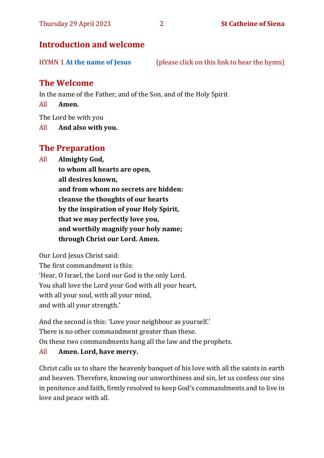### **Introduction and welcome**

HYMN 1 **[At the name of Jesus](https://www.youtube.com/watch?v=Mz6xfmRC8KA)** (please click on this link to hear the hymn)

# **The Welcome**

In the name of the Father, and of the Son, and of the Holy Spirit

All **Amen.**

The Lord be with you

All **And also with you.**

# **The Preparation**

All **Almighty God,**

**to whom all hearts are open, all desires known, and from whom no secrets are hidden: cleanse the thoughts of our hearts by the inspiration of your Holy Spirit, that we may perfectly love you, and worthily magnify your holy name; through Christ our Lord. Amen.**

Our Lord Jesus Christ said:

The first commandment is this: 'Hear, O Israel, the Lord our God is the only Lord. You shall love the Lord your God with all your heart, with all your soul, with all your mind, and with all your strength.'

And the second is this: 'Love your neighbour as yourself.' There is no other commandment greater than these. On these two commandments hang all the law and the prophets.

#### All **Amen. Lord, have mercy.**

Christ calls us to share the heavenly banquet of his love with all the saints in earth and heaven. Therefore, knowing our unworthiness and sin, let us confess our sins in penitence and faith, firmly resolved to keep God's commandments and to live in love and peace with all.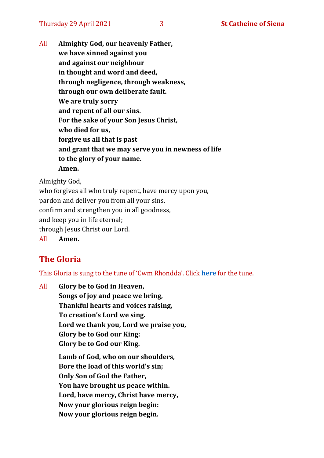All **Almighty God, our heavenly Father, we have sinned against you and against our neighbour in thought and word and deed, through negligence, through weakness, through our own deliberate fault. We are truly sorry and repent of all our sins. For the sake of your Son Jesus Christ, who died for us, forgive us all that is past and grant that we may serve you in newness of life to the glory of your name. Amen.**

Almighty God,

who forgives all who truly repent, have mercy upon you, pardon and deliver you from all your sins, confirm and strengthen you in all goodness, and keep you in life eternal; through Jesus Christ our Lord. All **Amen.**

# **The Gloria**

This Gloria is sung to the tune of 'Cwm Rhondda'. Click **[here](about:blank)** for the tune.

All **Glory be to God in Heaven, Songs of joy and peace we bring, Thankful hearts and voices raising, To creation's Lord we sing. Lord we thank you, Lord we praise you, Glory be to God our King: Glory be to God our King. Lamb of God, who on our shoulders, Bore the load of this world's sin; Only Son of God the Father, You have brought us peace within. Lord, have mercy, Christ have mercy, Now your glorious reign begin: Now your glorious reign begin.**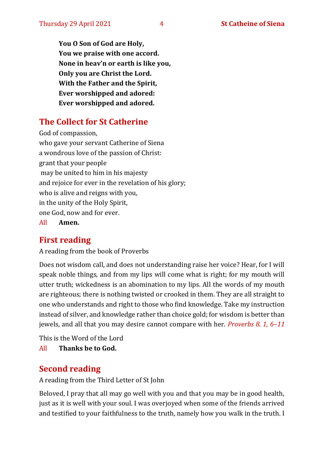**You O Son of God are Holy, You we praise with one accord. None in heav'n or earth is like you, Only you are Christ the Lord. With the Father and the Spirit, Ever worshipped and adored: Ever worshipped and adored.**

# **The Collect for St Catherine**

God of compassion, who gave your servant Catherine of Siena a wondrous love of the passion of Christ: grant that your people may be united to him in his majesty and rejoice for ever in the revelation of his glory; who is alive and reigns with you, in the unity of the Holy Spirit, one God, now and for ever.

All **Amen.**

# **First reading**

A reading from the book of Proverbs

Does not wisdom call, and does not understanding raise her voice? Hear, for I will speak noble things, and from my lips will come what is right; for my mouth will utter truth; wickedness is an abomination to my lips. All the words of my mouth are righteous; there is nothing twisted or crooked in them. They are all straight to one who understands and right to those who find knowledge. Take my instruction instead of silver, and knowledge rather than choice gold; for wisdom is better than jewels, and all that you may desire cannot compare with her. *Proverbs 8. 1, 6–11*

This is the Word of the Lord

All **Thanks be to God.**

# **Second reading**

A reading from the Third Letter of St John

Beloved, I pray that all may go well with you and that you may be in good health, just as it is well with your soul. I was overjoyed when some of the friends arrived and testified to your faithfulness to the truth, namely how you walk in the truth. I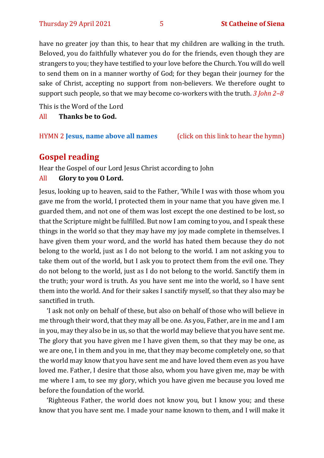have no greater joy than this, to hear that my children are walking in the truth. Beloved, you do faithfully whatever you do for the friends, even though they are strangers to you; they have testified to your love before the Church. You will do well to send them on in a manner worthy of God; for they began their journey for the sake of Christ, accepting no support from non-believers. We therefore ought to support such people, so that we may become co-workers with the truth. *3 John 2–8*

This is the Word of the Lord

All **Thanks be to God.**

HYMN 2 **Jesus, [name above all names](https://www.youtube.com/watch?v=JEBAHFFJdW8)** (click on this link to hear the hymn)

# **Gospel reading**

Hear the Gospel of our Lord Jesus Christ according to John

#### All **Glory to you O Lord.**

Jesus, looking up to heaven, said to the Father, 'While I was with those whom you gave me from the world, I protected them in your name that you have given me. I guarded them, and not one of them was lost except the one destined to be lost, so that the Scripture might be fulfilled. But now I am coming to you, and I speak these things in the world so that they may have my joy made complete in themselves. I have given them your word, and the world has hated them because they do not belong to the world, just as I do not belong to the world. I am not asking you to take them out of the world, but I ask you to protect them from the evil one. They do not belong to the world, just as I do not belong to the world. Sanctify them in the truth; your word is truth. As you have sent me into the world, so I have sent them into the world. And for their sakes I sanctify myself, so that they also may be sanctified in truth.

'I ask not only on behalf of these, but also on behalf of those who will believe in me through their word, that they may all be one. As you, Father, are in me and I am in you, may they also be in us, so that the world may believe that you have sent me. The glory that you have given me I have given them, so that they may be one, as we are one, I in them and you in me, that they may become completely one, so that the world may know that you have sent me and have loved them even as you have loved me. Father, I desire that those also, whom you have given me, may be with me where I am, to see my glory, which you have given me because you loved me before the foundation of the world.

'Righteous Father, the world does not know you, but I know you; and these know that you have sent me. I made your name known to them, and I will make it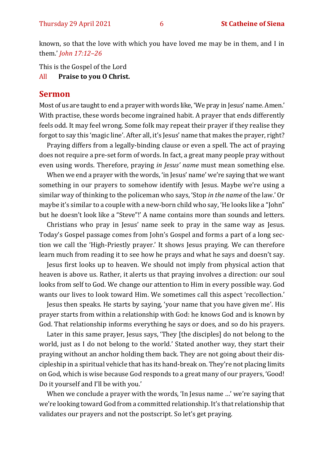known, so that the love with which you have loved me may be in them, and I in them.' *John 17:12–26*

This is the Gospel of the Lord

All **Praise to you O Christ.** 

#### **Sermon**

Most of us are taught to end a prayer with words like, 'We pray in Jesus' name. Amen.' With practise, these words become ingrained habit. A prayer that ends differently feels odd. It may feel wrong. Some folk may repeat their prayer if they realise they forgot to say this 'magic line'. After all, it's Jesus' name that makes the prayer, right?

Praying differs from a legally-binding clause or even a spell. The act of praying does not require a pre-set form of words. In fact, a great many people pray without even using words. Therefore, praying *in Jesus' name* must mean something else.

When we end a prayer with the words, 'in Jesus' name' we're saying that we want something in our prayers to somehow identify with Jesus. Maybe we're using a similar way of thinking to the policeman who says, 'Stop *in the name* of the law.' Or maybe it's similar to a couple with a new-born child who say, 'He looks like a "John" but he doesn't look like a "Steve"!' A name contains more than sounds and letters.

Christians who pray in Jesus' name seek to pray in the same way as Jesus. Today's Gospel passage comes from John's Gospel and forms a part of a long section we call the 'High-Priestly prayer.' It shows Jesus praying. We can therefore learn much from reading it to see how he prays and what he says and doesn't say.

Jesus first looks up to heaven. We should not imply from physical action that heaven is above us. Rather, it alerts us that praying involves a direction: our soul looks from self to God. We change our attention to Him in every possible way. God wants our lives to look toward Him. We sometimes call this aspect 'recollection.'

Jesus then speaks. He starts by saying, 'your name that you have given me'. His prayer starts from within a relationship with God: he knows God and is known by God. That relationship informs everything he says or does, and so do his prayers.

Later in this same prayer, Jesus says, 'They [the disciples] do not belong to the world, just as I do not belong to the world.' Stated another way, they start their praying without an anchor holding them back. They are not going about their discipleship in a spiritual vehicle that has its hand-break on. They're not placing limits on God, which is wise because God responds to a great many of our prayers, 'Good! Do it yourself and I'll be with you.'

When we conclude a prayer with the words, 'In Jesus name …' we're saying that we're looking toward God from a committed relationship. It's that relationship that validates our prayers and not the postscript. So let's get praying.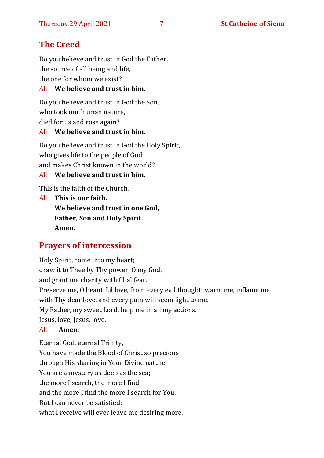# **The Creed**

Do you believe and trust in God the Father, the source of all being and life, the one for whom we exist?

### All **We believe and trust in him.**

Do you believe and trust in God the Son, who took our human nature, died for us and rose again?

#### All **We believe and trust in him.**

Do you believe and trust in God the Holy Spirit, who gives life to the people of God and makes Christ known in the world?

#### All **We believe and trust in him.**

This is the faith of the Church.

All **This is our faith. We believe and trust in one God, Father, Son and Holy Spirit. Amen.**

# **Prayers of intercession**

Holy Spirit, come into my heart; draw it to Thee by Thy power, O my God, and grant me charity with filial fear. Preserve me, O beautiful love, from every evil thought; warm me, inflame me with Thy dear love, and every pain will seem light to me. My Father, my sweet Lord, help me in all my actions. Jesus, love, Jesus, love.

#### All **Amen**.

Eternal God, eternal Trinity, You have made the Blood of Christ so precious through His sharing in Your Divine nature. You are a mystery as deep as the sea; the more I search, the more I find, and the more I find the more I search for You. But I can never be satisfied; what I receive will ever leave me desiring more.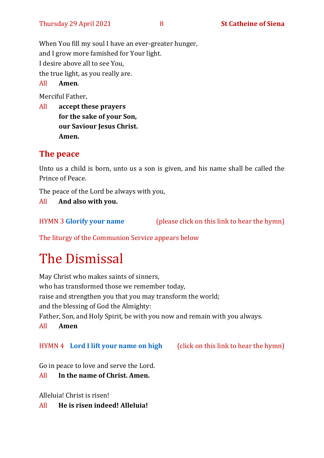When You fill my soul I have an ever-greater hunger, and I grow more famished for Your light. I desire above all to see You, the true light, as you really are. All **Amen**.

Merciful Father,

All **accept these prayers for the sake of your Son, our Saviour Jesus Christ. Amen.**

# **The peace**

Unto us a child is born, unto us a son is given, and his name shall be called the Prince of Peace.

The peace of the Lord be always with you,

All **And also with you.**

HYMN 3 **[Glorify your name](https://www.youtube.com/watch?v=nJ-lPtTR1nk)** (please click on this link to hear the hymn)

The liturgy of the Communion Service appears below

# The Dismissal

May Christ who makes saints of sinners, who has transformed those we remember today, raise and strengthen you that you may transform the world; and the blessing of God the Almighty: Father, Son, and Holy Spirit, be with you now and remain with you always. All **Amen**

HYMN 4 **[Lord I lift your name on high](https://www.youtube.com/watch?v=COQ6cni_TG8hy)** (click on this link to hear the hymn)

Go in peace to love and serve the Lord.

All **In the name of Christ. Amen.**

Alleluia! Christ is risen!

All **He is risen indeed! Alleluia!**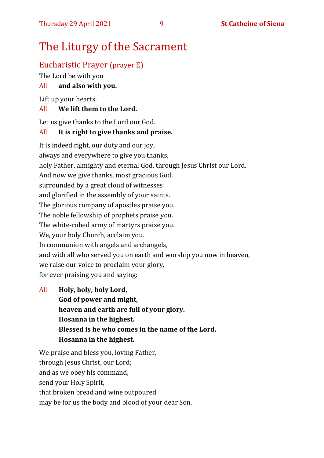# The Liturgy of the Sacrament

# Eucharistic Prayer (prayer E)

The Lord be with you

# All **and also with you.**

Lift up your hearts.

### All **We lift them to the Lord.**

Let us give thanks to the Lord our God.

### All **It is right to give thanks and praise.**

It is indeed right, our duty and our joy, always and everywhere to give you thanks, holy Father, almighty and eternal God, through Jesus Christ our Lord. And now we give thanks, most gracious God, surrounded by a great cloud of witnesses and glorified in the assembly of your saints. The glorious company of apostles praise you. The noble fellowship of prophets praise you. The white-robed army of martyrs praise you. We, your holy Church, acclaim you. In communion with angels and archangels, and with all who served you on earth and worship you now in heaven, we raise our voice to proclaim your glory, for ever praising you and saying:

All **Holy, holy, holy Lord, God of power and might, heaven and earth are full of your glory. Hosanna in the highest. Blessed is he who comes in the name of the Lord. Hosanna in the highest.**

We praise and bless you, loving Father, through Jesus Christ, our Lord; and as we obey his command, send your Holy Spirit, that broken bread and wine outpoured may be for us the body and blood of your dear Son.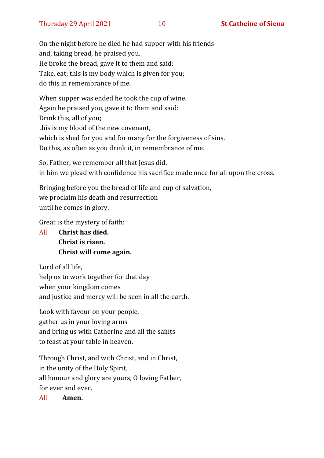On the night before he died he had supper with his friends and, taking bread, he praised you. He broke the bread, gave it to them and said: Take, eat; this is my body which is given for you; do this in remembrance of me.

When supper was ended he took the cup of wine. Again he praised you, gave it to them and said: Drink this, all of you; this is my blood of the new covenant, which is shed for you and for many for the forgiveness of sins. Do this, as often as you drink it, in remembrance of me.

So, Father, we remember all that Jesus did, in him we plead with confidence his sacrifice made once for all upon the cross.

Bringing before you the bread of life and cup of salvation, we proclaim his death and resurrection until he comes in glory.

Great is the mystery of faith:

All **Christ has died. Christ is risen. Christ will come again.**

Lord of all life, help us to work together for that day when your kingdom comes and justice and mercy will be seen in all the earth.

Look with favour on your people, gather us in your loving arms and bring us with Catherine and all the saints to feast at your table in heaven.

Through Christ, and with Christ, and in Christ, in the unity of the Holy Spirit, all honour and glory are yours, O loving Father, for ever and ever.

All **Amen.**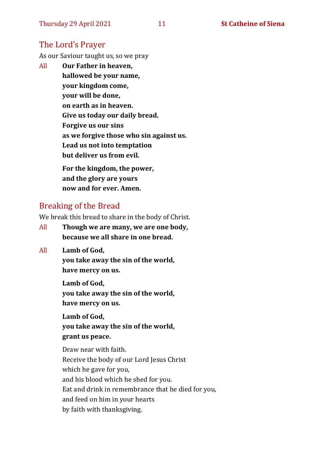# The Lord's Prayer

As our Saviour taught us, so we pray

All **Our Father in heaven, hallowed be your name, your kingdom come, your will be done, on earth as in heaven. Give us today our daily bread. Forgive us our sins as we forgive those who sin against us. Lead us not into temptation but deliver us from evil. For the kingdom, the power,** 

**and the glory are yours now and for ever. Amen.**

# Breaking of the Bread

We break this bread to share in the body of Christ.

- All **Though we are many, we are one body, because we all share in one bread.**
- All **Lamb of God,**

**you take away the sin of the world, have mercy on us.**

**Lamb of God, you take away the sin of the world, have mercy on us.**

**Lamb of God, you take away the sin of the world, grant us peace.**

Draw near with faith. Receive the body of our Lord Jesus Christ which he gave for you, and his blood which he shed for you. Eat and drink in remembrance that he died for you, and feed on him in your hearts by faith with thanksgiving.